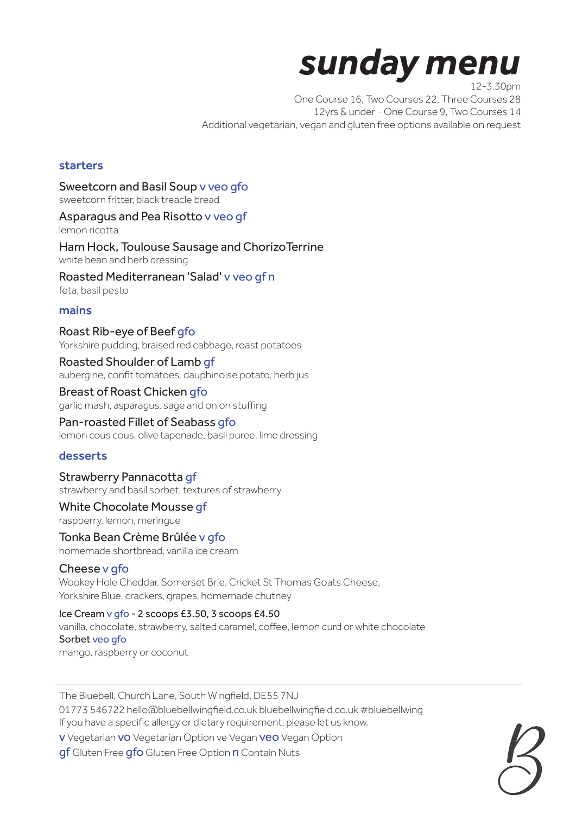# *sunday menu* 12-3.30pm

One Course 16, Two Courses 22, Three Courses 28 12yrs & under - One Course 9, Two Courses 14 Additional vegetarian, vegan and gluten free options available on request

# starters

Sweetcorn and Basil Soup v veo gfo sweetcorn fritter, black treacle bread

Asparagus and Pea Risotto v veo gf lemon ricotta

Ham Hock, Toulouse Sausage and ChorizoTerrine white bean and herb dressing

Roasted Mediterranean 'Salad' v veo gf n feta, basil pesto

## mains

Roast Rib-eye of Beef gfo Yorkshire pudding, braised red cabbage, roast potatoes

Roasted Shoulder of Lamb gf aubergine, confit tomatoes, dauphinoise potato, herb jus

Breast of Roast Chicken gfo garlic mash, asparagus, sage and onion stuffing

Pan-roasted Fillet of Seabass gfo lemon cous cous, olive tapenade, basil puree, lime dressing

## desserts

Strawberry Pannacotta gf strawberry and basil sorbet, textures of strawberry

White Chocolate Mousse gf raspberry, lemon, meringue

Tonka Bean Crème Brûlée v gfo homemade shortbread, vanilla ice cream

Cheese v gfo Wookey Hole Cheddar, Somerset Brie, Cricket St Thomas Goats Cheese, Yorkshire Blue, crackers, grapes, homemade chutney

Ice Cream v gfo - 2 scoops £3.50, 3 scoops £4.50 vanilla, chocolate, strawberry, salted caramel, coffee, lemon curd or white chocolate Sorbet veo gfo mango, raspberry or coconut

The Bluebell, Church Lane, South Wingfield, DE55 7NJ 01773 546722 hello@bluebellwingfield.co.uk bluebellwingfield.co.uk #bluebellwing If you have a specific allergy or dietary requirement, please let us know. v Vegetarian vo Vegetarian Option ve Vegan veo Vegan Option

gf Gluten Free gfo Gluten Free Option n Contain Nuts